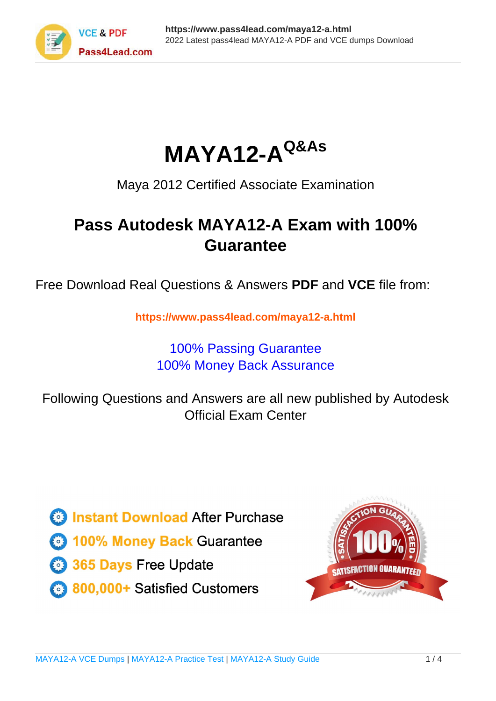



Maya 2012 Certified Associate Examination

# **Pass Autodesk MAYA12-A Exam with 100% Guarantee**

Free Download Real Questions & Answers **PDF** and **VCE** file from:

**https://www.pass4lead.com/maya12-a.html**

## 100% Passing Guarantee 100% Money Back Assurance

Following Questions and Answers are all new published by Autodesk Official Exam Center

**63 Instant Download After Purchase** 

**@ 100% Money Back Guarantee** 

365 Days Free Update

800,000+ Satisfied Customers

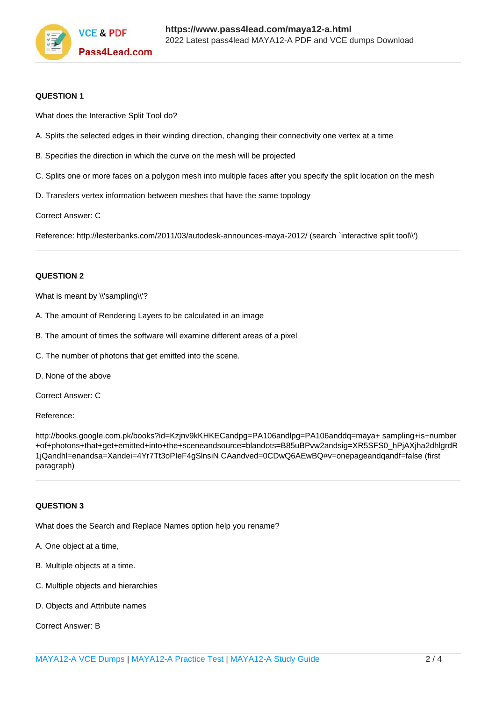

#### **QUESTION 1**

What does the Interactive Split Tool do?

- A. Splits the selected edges in their winding direction, changing their connectivity one vertex at a time
- B. Specifies the direction in which the curve on the mesh will be projected
- C. Splits one or more faces on a polygon mesh into multiple faces after you specify the split location on the mesh
- D. Transfers vertex information between meshes that have the same topology

Correct Answer: C

Reference: http://lesterbanks.com/2011/03/autodesk-announces-maya-2012/ (search `interactive split tool\\')

#### **QUESTION 2**

What is meant by \\'sampling\\'?

- A. The amount of Rendering Layers to be calculated in an image
- B. The amount of times the software will examine different areas of a pixel
- C. The number of photons that get emitted into the scene.
- D. None of the above

Correct Answer: C

Reference:

http://books.google.com.pk/books?id=Kzjnv9kKHKECandpg=PA106andlpg=PA106anddq=maya+ sampling+is+number +of+photons+that+get+emitted+into+the+sceneandsource=blandots=B85uBPvw2andsig=XR5SFS0\_hPjAXjha2dhlgrdR 1jQandhl=enandsa=Xandei=4Yr7Tt3oPIeF4gSlnsiN CAandved=0CDwQ6AEwBQ#v=onepageandqandf=false (first paragraph)

#### **QUESTION 3**

What does the Search and Replace Names option help you rename?

- A. One object at a time,
- B. Multiple objects at a time.
- C. Multiple objects and hierarchies
- D. Objects and Attribute names

Correct Answer: B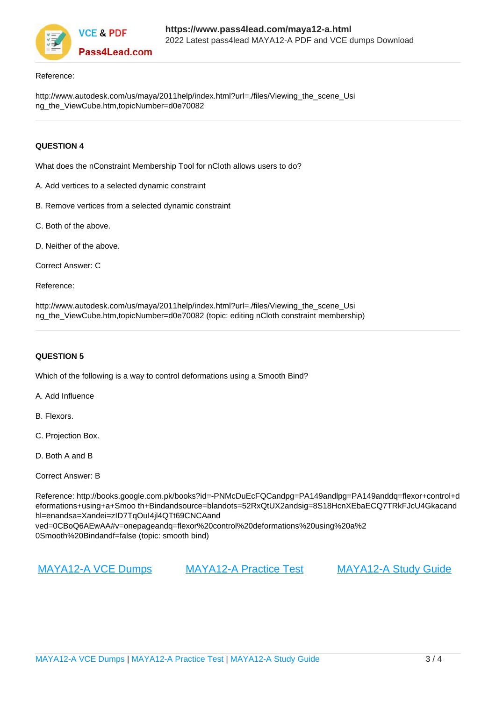

#### Reference:

http://www.autodesk.com/us/maya/2011help/index.html?url=./files/Viewing\_the\_scene\_Usi ng\_the\_ViewCube.htm,topicNumber=d0e70082

### **QUESTION 4**

What does the nConstraint Membership Tool for nCloth allows users to do?

- A. Add vertices to a selected dynamic constraint
- B. Remove vertices from a selected dynamic constraint
- C. Both of the above.
- D. Neither of the above.

Correct Answer: C

Reference:

http://www.autodesk.com/us/maya/2011help/index.html?url=./files/Viewing\_the\_scene\_Usi ng\_the\_ViewCube.htm,topicNumber=d0e70082 (topic: editing nCloth constraint membership)

#### **QUESTION 5**

Which of the following is a way to control deformations using a Smooth Bind?

A. Add Influence

- B. Flexors.
- C. Projection Box.
- D. Both A and B
- Correct Answer: B

Reference: http://books.google.com.pk/books?id=-PNMcDuEcFQCandpg=PA149andlpg=PA149anddq=flexor+control+d eformations+using+a+Smoo th+Bindandsource=blandots=52RxQtUX2andsig=8S18HcnXEbaECQ7TRkFJcU4Gkacand hl=enandsa=Xandei=zID7TqOuI4jl4QTt69CNCAand ved=0CBoQ6AEwAA#v=onepageandq=flexor%20control%20deformations%20using%20a%2 0Smooth%20Bindandf=false (topic: smooth bind)

[MAYA12-A VCE Dumps](https://www.pass4lead.com/maya12-a.html) [MAYA12-A Practice Test](https://www.pass4lead.com/maya12-a.html) [MAYA12-A Study Guide](https://www.pass4lead.com/maya12-a.html)